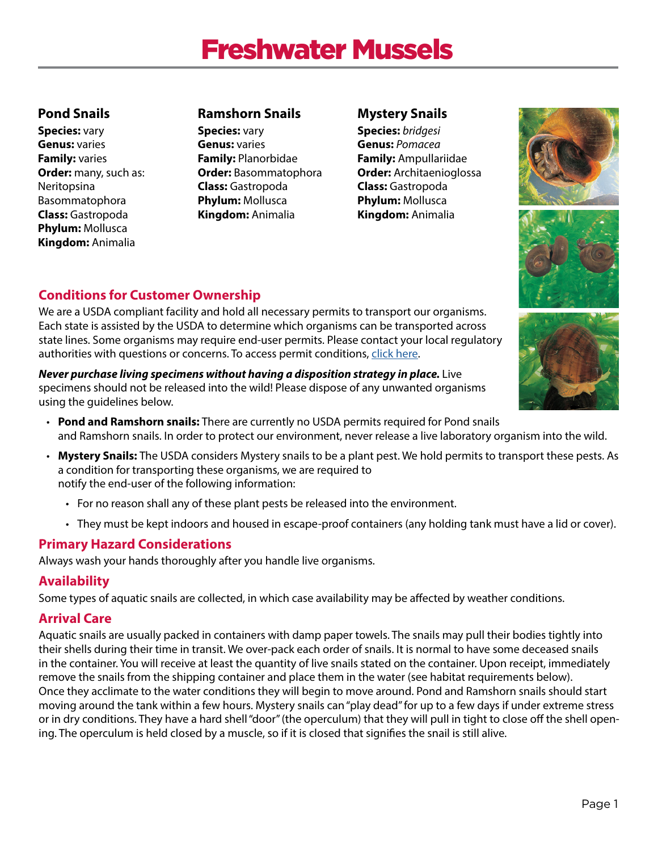# Freshwater Mussels

# **Pond Snails**

**Species:** vary **Genus:** varies **Family:** varies **Order:** many, such as: Neritopsina Basommatophora **Class:** Gastropoda **Phylum:** Mollusca **Kingdom:** Animalia

## **Ramshorn Snails**

**Species:** vary **Genus:** varies **Family:** Planorbidae **Order:** Basommatophora **Class:** Gastropoda **Phylum:** Mollusca **Kingdom:** Animalia

# **Mystery Snails**

**Species:** *bridgesi*  **Genus:** *Pomacea*  **Family:** Ampullariidae **Order:** Architaenioglossa **Class:** Gastropoda **Phylum:** Mollusca **Kingdom:** Animalia







# **Conditions for Customer Ownership**

We are a USDA compliant facility and hold all necessary permits to transport our organisms. Each state is assisted by the USDA to determine which organisms can be transported across state lines. Some organisms may require end-user permits. Please contact your local regulatory authorities with questions or concerns. To access permit conditions, click here.

*Never purchase living specimens without having a disposition strategy in place.* **Live** specimens should not be released into the wild! Please dispose of any unwanted organisms using the guidelines below.

- **Pond and Ramshorn snails:** There are currently no USDA permits required for Pond snails and Ramshorn snails. In order to protect our environment, never release a live laboratory organism into the wild.
- **Mystery Snails:** The USDA considers Mystery snails to be a plant pest. We hold permits to transport these pests. As a condition for transporting these organisms, we are required to notify the end-user of the following information:
	- For no reason shall any of these plant pests be released into the environment.
	- They must be kept indoors and housed in escape-proof containers (any holding tank must have a lid or cover).

# **Primary Hazard Considerations**

Always wash your hands thoroughly after you handle live organisms.

## **Availability**

Some types of aquatic snails are collected, in which case availability may be affected by weather conditions.

## **Arrival Care**

Aquatic snails are usually packed in containers with damp paper towels. The snails may pull their bodies tightly into their shells during their time in transit. We over-pack each order of snails. It is normal to have some deceased snails in the container. You will receive at least the quantity of live snails stated on the container. Upon receipt, immediately remove the snails from the shipping container and place them in the water (see habitat requirements below). Once they acclimate to the water conditions they will begin to move around. Pond and Ramshorn snails should start moving around the tank within a few hours. Mystery snails can "play dead" for up to a few days if under extreme stress or in dry conditions. They have a hard shell "door" (the operculum) that they will pull in tight to close off the shell opening. The operculum is held closed by a muscle, so if it is closed that signifies the snail is still alive.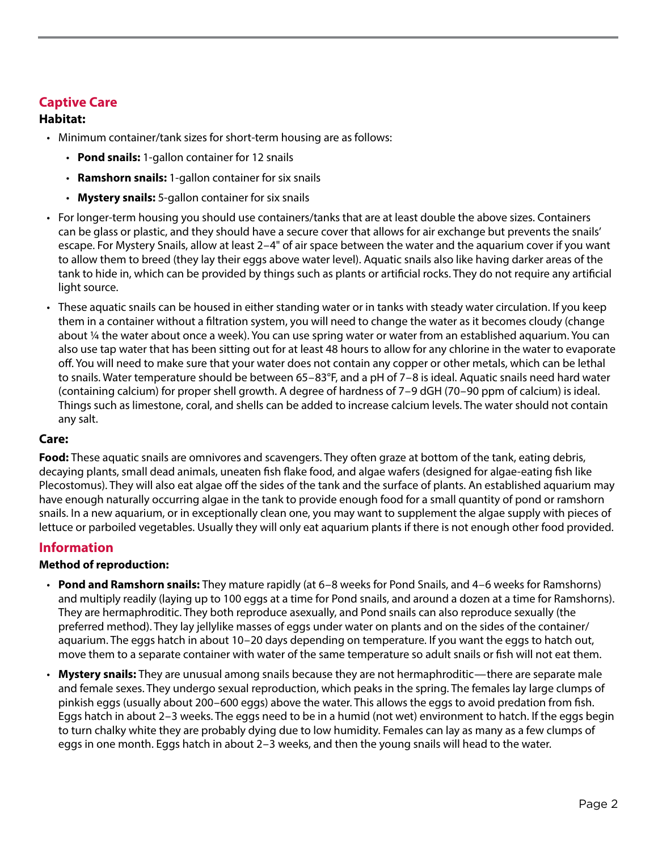## **Captive Care**

#### **Habitat:**

- Minimum container/tank sizes for short-term housing are as follows:
	- **Pond snails:** 1-gallon container for 12 snails
	- **Ramshorn snails:** 1-gallon container for six snails
	- **Mystery snails:** 5-gallon container for six snails
- For longer-term housing you should use containers/tanks that are at least double the above sizes. Containers can be glass or plastic, and they should have a secure cover that allows for air exchange but prevents the snails' escape. For Mystery Snails, allow at least 2–4" of air space between the water and the aquarium cover if you want to allow them to breed (they lay their eggs above water level). Aquatic snails also like having darker areas of the tank to hide in, which can be provided by things such as plants or artificial rocks. They do not require any artificial light source.
- These aquatic snails can be housed in either standing water or in tanks with steady water circulation. If you keep them in a container without a filtration system, you will need to change the water as it becomes cloudy (change about 1⁄4 the water about once a week). You can use spring water or water from an established aquarium. You can also use tap water that has been sitting out for at least 48 hours to allow for any chlorine in the water to evaporate off. You will need to make sure that your water does not contain any copper or other metals, which can be lethal to snails. Water temperature should be between 65–83°F, and a pH of 7–8 is ideal. Aquatic snails need hard water (containing calcium) for proper shell growth. A degree of hardness of 7–9 dGH (70–90 ppm of calcium) is ideal. Things such as limestone, coral, and shells can be added to increase calcium levels. The water should not contain any salt.

#### **Care:**

**Food:** These aquatic snails are omnivores and scavengers. They often graze at bottom of the tank, eating debris, decaying plants, small dead animals, uneaten fish flake food, and algae wafers (designed for algae-eating fish like Plecostomus). They will also eat algae off the sides of the tank and the surface of plants. An established aquarium may have enough naturally occurring algae in the tank to provide enough food for a small quantity of pond or ramshorn snails. In a new aquarium, or in exceptionally clean one, you may want to supplement the algae supply with pieces of lettuce or parboiled vegetables. Usually they will only eat aquarium plants if there is not enough other food provided.

## **Information**

#### **Method of reproduction:**

- **Pond and Ramshorn snails:** They mature rapidly (at 6–8 weeks for Pond Snails, and 4–6 weeks for Ramshorns) and multiply readily (laying up to 100 eggs at a time for Pond snails, and around a dozen at a time for Ramshorns). They are hermaphroditic. They both reproduce asexually, and Pond snails can also reproduce sexually (the preferred method). They lay jellylike masses of eggs under water on plants and on the sides of the container/ aquarium. The eggs hatch in about 10–20 days depending on temperature. If you want the eggs to hatch out, move them to a separate container with water of the same temperature so adult snails or fish will not eat them.
- **Mystery snails:** They are unusual among snails because they are not hermaphroditic—there are separate male and female sexes. They undergo sexual reproduction, which peaks in the spring. The females lay large clumps of pinkish eggs (usually about 200–600 eggs) above the water. This allows the eggs to avoid predation from fish. Eggs hatch in about 2–3 weeks. The eggs need to be in a humid (not wet) environment to hatch. If the eggs begin to turn chalky white they are probably dying due to low humidity. Females can lay as many as a few clumps of eggs in one month. Eggs hatch in about 2–3 weeks, and then the young snails will head to the water.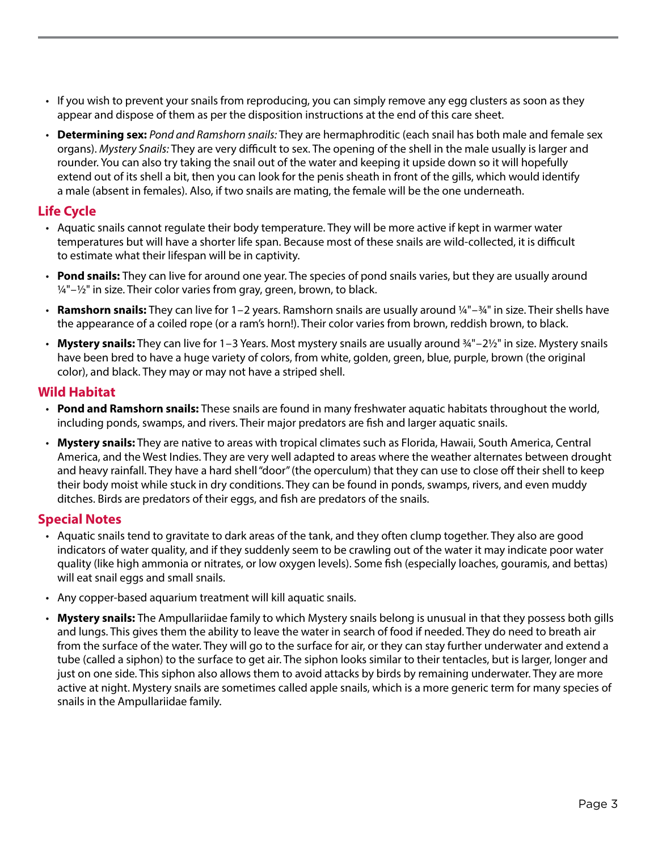- If you wish to prevent your snails from reproducing, you can simply remove any egg clusters as soon as they appear and dispose of them as per the disposition instructions at the end of this care sheet.
- **Determining sex:** *Pond and Ramshorn snails:* They are hermaphroditic (each snail has both male and female sex organs). *Mystery Snails:* They are very difficult to sex. The opening of the shell in the male usually is larger and rounder. You can also try taking the snail out of the water and keeping it upside down so it will hopefully extend out of its shell a bit, then you can look for the penis sheath in front of the gills, which would identify a male (absent in females). Also, if two snails are mating, the female will be the one underneath.

#### **Life Cycle**

- Aquatic snails cannot regulate their body temperature. They will be more active if kept in warmer water temperatures but will have a shorter life span. Because most of these snails are wild-collected, it is difficult to estimate what their lifespan will be in captivity.
- **Pond snails:** They can live for around one year. The species of pond snails varies, but they are usually around  $1/4$ " $-1/2$ " in size. Their color varies from gray, green, brown, to black.
- **Ramshorn snails:** They can live for 1–2 years. Ramshorn snails are usually around 1⁄4"–3⁄4" in size. Their shells have the appearance of a coiled rope (or a ram's horn!). Their color varies from brown, reddish brown, to black.
- Mystery snails: They can live for 1–3 Years. Most mystery snails are usually around  $\frac{3}{4}$ "–2 $\frac{1}{2}$ " in size. Mystery snails have been bred to have a huge variety of colors, from white, golden, green, blue, purple, brown (the original color), and black. They may or may not have a striped shell.

#### **Wild Habitat**

- **Pond and Ramshorn snails:** These snails are found in many freshwater aquatic habitats throughout the world, including ponds, swamps, and rivers. Their major predators are fish and larger aquatic snails.
- **Mystery snails:** They are native to areas with tropical climates such as Florida, Hawaii, South America, Central America, and the West Indies. They are very well adapted to areas where the weather alternates between drought and heavy rainfall. They have a hard shell "door" (the operculum) that they can use to close off their shell to keep their body moist while stuck in dry conditions. They can be found in ponds, swamps, rivers, and even muddy ditches. Birds are predators of their eggs, and fish are predators of the snails.

#### **Special Notes**

- Aquatic snails tend to gravitate to dark areas of the tank, and they often clump together. They also are good indicators of water quality, and if they suddenly seem to be crawling out of the water it may indicate poor water quality (like high ammonia or nitrates, or low oxygen levels). Some fish (especially loaches, gouramis, and bettas) will eat snail eggs and small snails.
- Any copper-based aquarium treatment will kill aquatic snails.
- **Mystery snails:** The Ampullariidae family to which Mystery snails belong is unusual in that they possess both gills and lungs. This gives them the ability to leave the water in search of food if needed. They do need to breath air from the surface of the water. They will go to the surface for air, or they can stay further underwater and extend a tube (called a siphon) to the surface to get air. The siphon looks similar to their tentacles, but is larger, longer and just on one side. This siphon also allows them to avoid attacks by birds by remaining underwater. They are more active at night. Mystery snails are sometimes called apple snails, which is a more generic term for many species of snails in the Ampullariidae family.